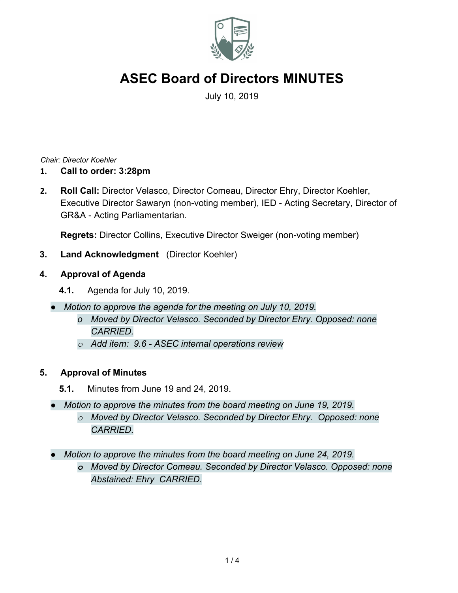

July 10, 2019

*Chair: Director Koehler*

- **1. Call to order: 3:28pm**
- **2. Roll Call:** Director Velasco, Director Comeau, Director Ehry, Director Koehler, Executive Director Sawaryn (non-voting member), IED - Acting Secretary, Director of GR&A - Acting Parliamentarian.

**Regrets:** Director Collins, Executive Director Sweiger (non-voting member)

- **3. Land Acknowledgment** (Director Koehler)
- **4. Approval of Agenda**
	- **4.1.** Agenda for July 10, 2019.
	- *● Motion to approve the agenda for the meeting on July 10, 2019.*
		- *o Moved by Director Velasco. Seconded by Director Ehry. Opposed: none CARRIED.*
		- *o Add item: 9.6 ASEC internal operations review*

# **5. Approval of Minutes**

- **5.1.** Minutes from June 19 and 24, 2019.
- *● Motion to approve the minutes from the board meeting on June 19, 2019. o Moved by Director Velasco. Seconded by Director Ehry. Opposed: none*
	- *CARRIED.*
- *● Motion to approve the minutes from the board meeting on June 24, 2019.*
	- *o Moved by Director Comeau. Seconded by Director Velasco. Opposed: none Abstained: Ehry CARRIED.*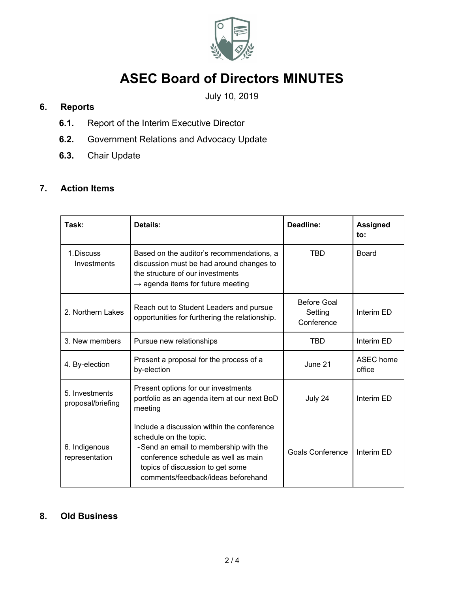

# July 10, 2019

# **6. Reports**

- **6.1.** Report of the Interim Executive Director
- **6.2.** Government Relations and Advocacy Update
- **6.3.** Chair Update

# **7. Action Items**

| Task:                               | Details:                                                                                                                                                                                                                       | Deadline:                                   | <b>Assigned</b><br>to: |
|-------------------------------------|--------------------------------------------------------------------------------------------------------------------------------------------------------------------------------------------------------------------------------|---------------------------------------------|------------------------|
| 1. Discuss<br>Investments           | Based on the auditor's recommendations, a<br>discussion must be had around changes to<br>the structure of our investments<br>$\rightarrow$ agenda items for future meeting                                                     | <b>TBD</b>                                  | <b>Board</b>           |
| 2. Northern Lakes                   | Reach out to Student Leaders and pursue<br>opportunities for furthering the relationship.                                                                                                                                      | <b>Before Goal</b><br>Setting<br>Conference | Interim ED             |
| 3. New members                      | Pursue new relationships                                                                                                                                                                                                       | <b>TBD</b>                                  | Interim ED             |
| 4. By-election                      | Present a proposal for the process of a<br>by-election                                                                                                                                                                         | June 21                                     | ASEC home<br>office    |
| 5. Investments<br>proposal/briefing | Present options for our investments<br>portfolio as an agenda item at our next BoD<br>meeting                                                                                                                                  | July 24                                     | Interim ED             |
| 6. Indigenous<br>representation     | Include a discussion within the conference<br>schedule on the topic.<br>-Send an email to membership with the<br>conference schedule as well as main<br>topics of discussion to get some<br>comments/feedback/ideas beforehand | <b>Goals Conference</b>                     | Interim ED             |

# **8. Old Business**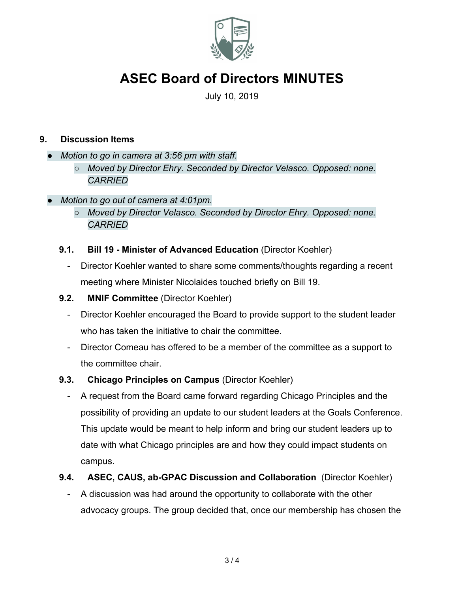

July 10, 2019

# **9. Discussion Items**

- *● Motion to go in camera at 3:56 pm with staff.*
	- *○ Moved by Director Ehry. Seconded by Director Velasco. Opposed: none. CARRIED*
- *● Motion to go out of camera at 4:01pm.*
	- *○ Moved by Director Velasco. Seconded by Director Ehry. Opposed: none. CARRIED*

#### **9.1. Bill 19 - Minister of Advanced Education** (Director Koehler)

- Director Koehler wanted to share some comments/thoughts regarding a recent meeting where Minister Nicolaides touched briefly on Bill 19.
- **9.2. MNIF Committee** (Director Koehler)
	- Director Koehler encouraged the Board to provide support to the student leader who has taken the initiative to chair the committee.
	- Director Comeau has offered to be a member of the committee as a support to the committee chair.
- **9.3. Chicago Principles on Campus** (Director Koehler)
	- A request from the Board came forward regarding Chicago Principles and the possibility of providing an update to our student leaders at the Goals Conference. This update would be meant to help inform and bring our student leaders up to date with what Chicago principles are and how they could impact students on campus.

# **9.4. ASEC, CAUS, ab-GPAC Discussion and Collaboration** (Director Koehler)

- A discussion was had around the opportunity to collaborate with the other advocacy groups. The group decided that, once our membership has chosen the